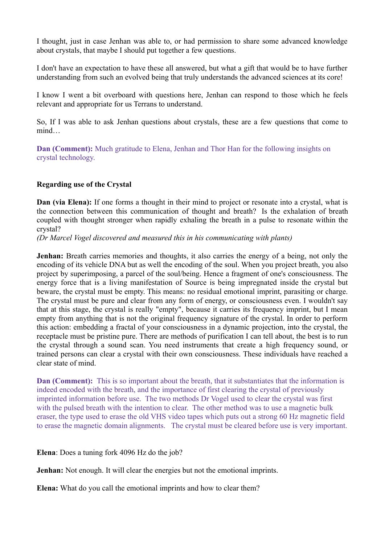I thought, just in case Jenhan was able to, or had permission to share some advanced knowledge about crystals, that maybe I should put together a few questions.

I don't have an expectation to have these all answered, but what a gift that would be to have further understanding from such an evolved being that truly understands the advanced sciences at its core!

I know I went a bit overboard with questions here, Jenhan can respond to those which he feels relevant and appropriate for us Terrans to understand.

So, If I was able to ask Jenhan questions about crystals, these are a few questions that come to mind…

**Dan (Comment):** Much gratitude to Elena, Jenhan and Thor Han for the following insights on crystal technology.

## **Regarding use of the Crystal**

**Dan (via Elena):** If one forms a thought in their mind to project or resonate into a crystal, what is the connection between this communication of thought and breath? Is the exhalation of breath coupled with thought stronger when rapidly exhaling the breath in a pulse to resonate within the crystal?

*(Dr Marcel Vogel discovered and measured this in his communicating with plants)*

**Jenhan:** Breath carries memories and thoughts, it also carries the energy of a being, not only the encoding of its vehicle DNA but as well the encoding of the soul. When you project breath, you also project by superimposing, a parcel of the soul/being. Hence a fragment of one's consciousness. The energy force that is a living manifestation of Source is being impregnated inside the crystal but beware, the crystal must be empty. This means: no residual emotional imprint, parasiting or charge. The crystal must be pure and clear from any form of energy, or consciousness even. I wouldn't say that at this stage, the crystal is really "empty", because it carries its frequency imprint, but I mean empty from anything that is not the original frequency signature of the crystal. In order to perform this action: embedding a fractal of your consciousness in a dynamic projection, into the crystal, the receptacle must be pristine pure. There are methods of purification I can tell about, the best is to run the crystal through a sound scan. You need instruments that create a high frequency sound, or trained persons can clear a crystal with their own consciousness. These individuals have reached a clear state of mind.

**Dan (Comment):** This is so important about the breath, that it substantiates that the information is indeed encoded with the breath, and the importance of first clearing the crystal of previously imprinted information before use. The two methods Dr Vogel used to clear the crystal was first with the pulsed breath with the intention to clear. The other method was to use a magnetic bulk eraser, the type used to erase the old VHS video tapes which puts out a strong 60 Hz magnetic field to erase the magnetic domain alignments. The crystal must be cleared before use is very important.

## **Elena**: Does a tuning fork 4096 Hz do the job?

**Jenhan:** Not enough. It will clear the energies but not the emotional imprints.

**Elena:** What do you call the emotional imprints and how to clear them?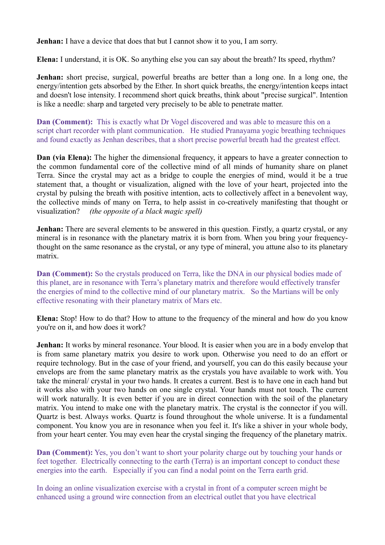**Jenhan:** I have a device that does that but I cannot show it to you, I am sorry.

**Elena:** I understand, it is OK. So anything else you can say about the breath? Its speed, rhythm?

**Jenhan:** short precise, surgical, powerful breaths are better than a long one. In a long one, the energy/intention gets absorbed by the Ether. In short quick breaths, the energy/intention keeps intact and doesn't lose intensity. I recommend short quick breaths, think about "precise surgical". Intention is like a needle: sharp and targeted very precisely to be able to penetrate matter.

**Dan (Comment):** This is exactly what Dr Vogel discovered and was able to measure this on a script chart recorder with plant communication. He studied Pranayama yogic breathing techniques and found exactly as Jenhan describes, that a short precise powerful breath had the greatest effect.

**Dan (via Elena):** The higher the dimensional frequency, it appears to have a greater connection to the common fundamental core of the collective mind of all minds of humanity share on planet Terra. Since the crystal may act as a bridge to couple the energies of mind, would it be a true statement that, a thought or visualization, aligned with the love of your heart, projected into the crystal by pulsing the breath with positive intention, acts to collectively affect in a benevolent way, the collective minds of many on Terra, to help assist in co-creatively manifesting that thought or visualization? *(the opposite of a black magic spell)*

**Jenhan:** There are several elements to be answered in this question. Firstly, a quartz crystal, or any mineral is in resonance with the planetary matrix it is born from. When you bring your frequencythought on the same resonance as the crystal, or any type of mineral, you attune also to its planetary matrix.

**Dan (Comment):** So the crystals produced on Terra, like the DNA in our physical bodies made of this planet, are in resonance with Terra's planetary matrix and therefore would effectively transfer the energies of mind to the collective mind of our planetary matrix. So the Martians will be only effective resonating with their planetary matrix of Mars etc.

**Elena:** Stop! How to do that? How to attune to the frequency of the mineral and how do you know you're on it, and how does it work?

**Jenhan:** It works by mineral resonance. Your blood. It is easier when you are in a body envelop that is from same planetary matrix you desire to work upon. Otherwise you need to do an effort or require technology. But in the case of your friend, and yourself, you can do this easily because your envelops are from the same planetary matrix as the crystals you have available to work with. You take the mineral/ crystal in your two hands. It creates a current. Best is to have one in each hand but it works also with your two hands on one single crystal. Your hands must not touch. The current will work naturally. It is even better if you are in direct connection with the soil of the planetary matrix. You intend to make one with the planetary matrix. The crystal is the connector if you will. Quartz is best. Always works. Quartz is found throughout the whole universe. It is a fundamental component. You know you are in resonance when you feel it. It's like a shiver in your whole body, from your heart center. You may even hear the crystal singing the frequency of the planetary matrix.

**Dan (Comment):** Yes, you don't want to short your polarity charge out by touching your hands or feet together. Electrically connecting to the earth (Terra) is an important concept to conduct these energies into the earth. Especially if you can find a nodal point on the Terra earth grid.

In doing an online visualization exercise with a crystal in front of a computer screen might be enhanced using a ground wire connection from an electrical outlet that you have electrical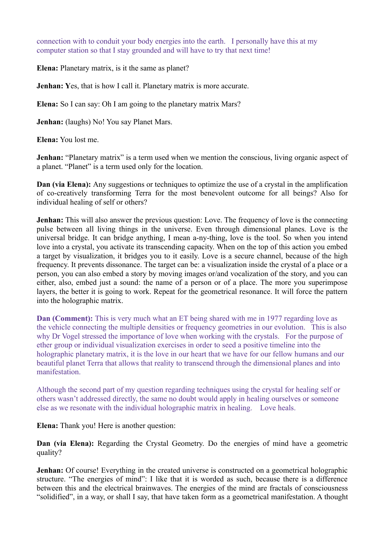connection with to conduit your body energies into the earth. I personally have this at my computer station so that I stay grounded and will have to try that next time!

**Elena:** Planetary matrix, is it the same as planet?

**Jenhan: Y**es, that is how I call it. Planetary matrix is more accurate.

**Elena:** So I can say: Oh I am going to the planetary matrix Mars?

**Jenhan:** (laughs) No! You say Planet Mars.

**Elena:** You lost me.

**Jenhan:** "Planetary matrix" is a term used when we mention the conscious, living organic aspect of a planet. "Planet" is a term used only for the location.

**Dan (via Elena):** Any suggestions or techniques to optimize the use of a crystal in the amplification of co-creatively transforming Terra for the most benevolent outcome for all beings? Also for individual healing of self or others?

**Jenhan:** This will also answer the previous question: Love. The frequency of love is the connecting pulse between all living things in the universe. Even through dimensional planes. Love is the universal bridge. It can bridge anything, I mean a-ny-thing, love is the tool. So when you intend love into a crystal, you activate its transcending capacity. When on the top of this action you embed a target by visualization, it bridges you to it easily. Love is a secure channel, because of the high frequency. It prevents dissonance. The target can be: a visualization inside the crystal of a place or a person, you can also embed a story by moving images or/and vocalization of the story, and you can either, also, embed just a sound: the name of a person or of a place. The more you superimpose layers, the better it is going to work. Repeat for the geometrical resonance. It will force the pattern into the holographic matrix.

**Dan (Comment):** This is very much what an ET being shared with me in 1977 regarding love as the vehicle connecting the multiple densities or frequency geometries in our evolution. This is also why Dr Vogel stressed the importance of love when working with the crystals. For the purpose of ether group or individual visualization exercises in order to seed a positive timeline into the holographic planetary matrix, it is the love in our heart that we have for our fellow humans and our beautiful planet Terra that allows that reality to transcend through the dimensional planes and into manifestation.

Although the second part of my question regarding techniques using the crystal for healing self or others wasn't addressed directly, the same no doubt would apply in healing ourselves or someone else as we resonate with the individual holographic matrix in healing. Love heals.

**Elena:** Thank you! Here is another question:

**Dan (via Elena):** Regarding the Crystal Geometry. Do the energies of mind have a geometric quality?

**Jenhan:** Of course! Everything in the created universe is constructed on a geometrical holographic structure. "The energies of mind": I like that it is worded as such, because there is a difference between this and the electrical brainwaves. The energies of the mind are fractals of consciousness "solidified", in a way, or shall I say, that have taken form as a geometrical manifestation. A thought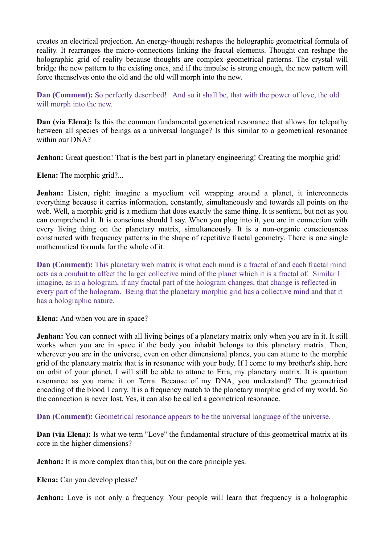creates an electrical projection. An energy-thought reshapes the holographic geometrical formula of reality. It rearranges the micro-connections linking the fractal elements. Thought can reshape the holographic grid of reality because thoughts are complex geometrical patterns. The crystal will bridge the new pattern to the existing ones, and if the impulse is strong enough, the new pattern will force themselves onto the old and the old will morph into the new.

**Dan (Comment):** So perfectly described! And so it shall be, that with the power of love, the old will morph into the new.

**Dan (via Elena):** Is this the common fundamental geometrical resonance that allows for telepathy between all species of beings as a universal language? Is this similar to a geometrical resonance within our DNA?

**Jenhan:** Great question! That is the best part in planetary engineering! Creating the morphic grid!

**Elena:** The morphic grid?...

**Jenhan:** Listen, right: imagine a mycelium veil wrapping around a planet, it interconnects everything because it carries information, constantly, simultaneously and towards all points on the web. Well, a morphic grid is a medium that does exactly the same thing. It is sentient, but not as you can comprehend it. It is conscious should I say. When you plug into it, you are in connection with every living thing on the planetary matrix, simultaneously. It is a non-organic consciousness constructed with frequency patterns in the shape of repetitive fractal geometry. There is one single mathematical formula for the whole of it.

**Dan (Comment):** This planetary web matrix is what each mind is a fractal of and each fractal mind acts as a conduit to affect the larger collective mind of the planet which it is a fractal of. Similar I imagine, as in a hologram, if any fractal part of the hologram changes, that change is reflected in every part of the hologram. Being that the planetary morphic grid has a collective mind and that it has a holographic nature.

**Elena:** And when you are in space?

**Jenhan:** You can connect with all living beings of a planetary matrix only when you are in it. It still works when you are in space if the body you inhabit belongs to this planetary matrix. Then, wherever you are in the universe, even on other dimensional planes, you can attune to the morphic grid of the planetary matrix that is in resonance with your body. If I come to my brother's ship, here on orbit of your planet, I will still be able to attune to Erra, my planetary matrix. It is quantum resonance as you name it on Terra. Because of my DNA, you understand? The geometrical encoding of the blood I carry. It is a frequency match to the planetary morphic grid of my world. So the connection is never lost. Yes, it can also be called a geometrical resonance.

**Dan (Comment):** Geometrical resonance appears to be the universal language of the universe.

**Dan (via Elena):** Is what we term "Love" the fundamental structure of this geometrical matrix at its core in the higher dimensions?

**Jenhan:** It is more complex than this, but on the core principle yes.

**Elena:** Can you develop please?

**Jenhan:** Love is not only a frequency. Your people will learn that frequency is a holographic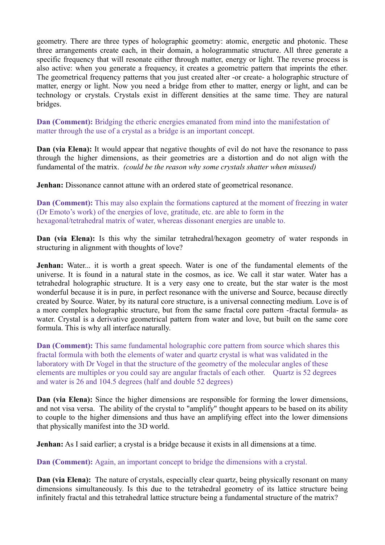geometry. There are three types of holographic geometry: atomic, energetic and photonic. These three arrangements create each, in their domain, a hologrammatic structure. All three generate a specific frequency that will resonate either through matter, energy or light. The reverse process is also active: when you generate a frequency, it creates a geometric pattern that imprints the ether. The geometrical frequency patterns that you just created alter -or create- a holographic structure of matter, energy or light. Now you need a bridge from ether to matter, energy or light, and can be technology or crystals. Crystals exist in different densities at the same time. They are natural bridges.

**Dan (Comment):** Bridging the etheric energies emanated from mind into the manifestation of matter through the use of a crystal as a bridge is an important concept.

**Dan (via Elena):** It would appear that negative thoughts of evil do not have the resonance to pass through the higher dimensions, as their geometries are a distortion and do not align with the fundamental of the matrix. *(could be the reason why some crystals shatter when misused)*

**Jenhan:** Dissonance cannot attune with an ordered state of geometrical resonance.

**Dan (Comment):** This may also explain the formations captured at the moment of freezing in water (Dr Emoto's work) of the energies of love, gratitude, etc. are able to form in the hexagonal/tetrahedral matrix of water, whereas dissonant energies are unable to.

**Dan (via Elena):** Is this why the similar tetrahedral/hexagon geometry of water responds in structuring in alignment with thoughts of love?

**Jenhan:** Water... it is worth a great speech. Water is one of the fundamental elements of the universe. It is found in a natural state in the cosmos, as ice. We call it star water. Water has a tetrahedral holographic structure. It is a very easy one to create, but the star water is the most wonderful because it is in pure, in perfect resonance with the universe and Source, because directly created by Source. Water, by its natural core structure, is a universal connecting medium. Love is of a more complex holographic structure, but from the same fractal core pattern -fractal formula- as water. Crystal is a derivative geometrical pattern from water and love, but built on the same core formula. This is why all interface naturally.

**Dan (Comment):** This same fundamental holographic core pattern from source which shares this fractal formula with both the elements of water and quartz crystal is what was validated in the laboratory with Dr Vogel in that the structure of the geometry of the molecular angles of these elements are multiples or you could say are angular fractals of each other. Quartz is 52 degrees and water is 26 and 104.5 degrees (half and double 52 degrees)

**Dan (via Elena):** Since the higher dimensions are responsible for forming the lower dimensions, and not visa versa. The ability of the crystal to "amplify" thought appears to be based on its ability to couple to the higher dimensions and thus have an amplifying effect into the lower dimensions that physically manifest into the 3D world.

**Jenhan:** As I said earlier; a crystal is a bridge because it exists in all dimensions at a time.

**Dan (Comment):** Again, an important concept to bridge the dimensions with a crystal.

**Dan (via Elena):** The nature of crystals, especially clear quartz, being physically resonant on many dimensions simultaneously. Is this due to the tetrahedral geometry of its lattice structure being infinitely fractal and this tetrahedral lattice structure being a fundamental structure of the matrix?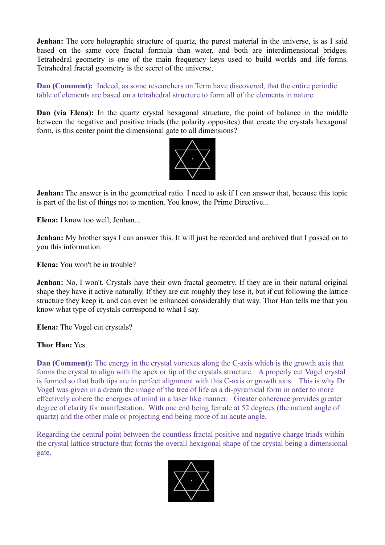**Jenhan:** The core holographic structure of quartz, the purest material in the universe, is as I said based on the same core fractal formula than water, and both are interdimensional bridges. Tetrahedral geometry is one of the main frequency keys used to build worlds and life-forms. Tetrahedral fractal geometry is the secret of the universe.

**Dan (Comment):** Indeed, as some researchers on Terra have discovered, that the entire periodic table of elements are based on a tetrahedral structure to form all of the elements in nature.

**Dan (via Elena):** In the quartz crystal hexagonal structure, the point of balance in the middle between the negative and positive triads (the polarity opposites) that create the crystals hexagonal form, is this center point the dimensional gate to all dimensions?



**Jenhan:** The answer is in the geometrical ratio. I need to ask if I can answer that, because this topic is part of the list of things not to mention. You know, the Prime Directive...

**Elena:** I know too well, Jenhan...

**Jenhan:** My brother says I can answer this. It will just be recorded and archived that I passed on to you this information.

**Elena:** You won't be in trouble?

**Jenhan:** No, I won't. Crystals have their own fractal geometry. If they are in their natural original shape they have it active naturally. If they are cut roughly they lose it, but if cut following the lattice structure they keep it, and can even be enhanced considerably that way. Thor Han tells me that you know what type of crystals correspond to what I say.

**Elena:** The Vogel cut crystals?

**Thor Han:** Yes.

**Dan (Comment):** The energy in the crystal vortexes along the C-axis which is the growth axis that forms the crystal to align with the apex or tip of the crystals structure. A properly cut Vogel crystal is formed so that both tips are in perfect alignment with this C-axis or growth axis. This is why Dr Vogel was given in a dream the image of the tree of life as a di-pyramidal form in order to more effectively cohere the energies of mind in a laser like manner. Greater coherence provides greater degree of clarity for manifestation. With one end being female at 52 degrees (the natural angle of quartz) and the other male or projecting end being more of an acute angle.

Regarding the central point between the countless fractal positive and negative charge triads within the crystal lattice structure that forms the overall hexagonal shape of the crystal being a dimensional gate.

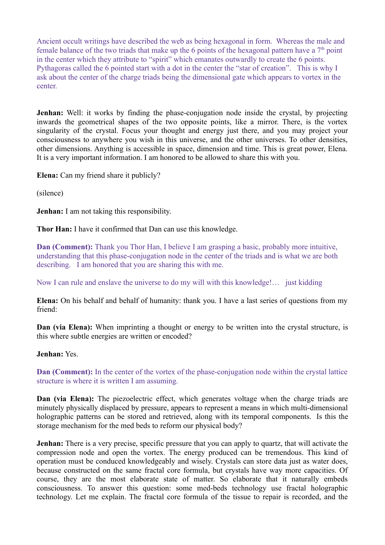Ancient occult writings have described the web as being hexagonal in form. Whereas the male and female balance of the two triads that make up the 6 points of the hexagonal pattern have a  $7<sup>th</sup>$  point in the center which they attribute to "spirit" which emanates outwardly to create the 6 points. Pythagoras called the 6 pointed start with a dot in the center the "star of creation". This is why I ask about the center of the charge triads being the dimensional gate which appears to vortex in the center.

**Jenhan:** Well: it works by finding the phase-conjugation node inside the crystal, by projecting inwards the geometrical shapes of the two opposite points, like a mirror. There, is the vortex singularity of the crystal. Focus your thought and energy just there, and you may project your consciousness to anywhere you wish in this universe, and the other universes. To other densities, other dimensions. Anything is accessible in space, dimension and time. This is great power, Elena. It is a very important information. I am honored to be allowed to share this with you.

**Elena:** Can my friend share it publicly?

(silence)

**Jenhan:** I am not taking this responsibility.

**Thor Han:** I have it confirmed that Dan can use this knowledge.

**Dan (Comment):** Thank you Thor Han, I believe I am grasping a basic, probably more intuitive, understanding that this phase-conjugation node in the center of the triads and is what we are both describing. I am honored that you are sharing this with me.

Now I can rule and enslave the universe to do my will with this knowledge!… just kidding

**Elena:** On his behalf and behalf of humanity: thank you. I have a last series of questions from my friend:

**Dan (via Elena):** When imprinting a thought or energy to be written into the crystal structure, is this where subtle energies are written or encoded?

## **Jenhan:** Yes.

**Dan (Comment):** In the center of the vortex of the phase-conjugation node within the crystal lattice structure is where it is written I am assuming.

**Dan (via Elena):** The piezoelectric effect, which generates voltage when the charge triads are minutely physically displaced by pressure, appears to represent a means in which multi-dimensional holographic patterns can be stored and retrieved, along with its temporal components. Is this the storage mechanism for the med beds to reform our physical body?

**Jenhan:** There is a very precise, specific pressure that you can apply to quartz, that will activate the compression node and open the vortex. The energy produced can be tremendous. This kind of operation must be conduced knowledgeably and wisely. Crystals can store data just as water does, because constructed on the same fractal core formula, but crystals have way more capacities. Of course, they are the most elaborate state of matter. So elaborate that it naturally embeds consciousness. To answer this question: some med-beds technology use fractal holographic technology. Let me explain. The fractal core formula of the tissue to repair is recorded, and the